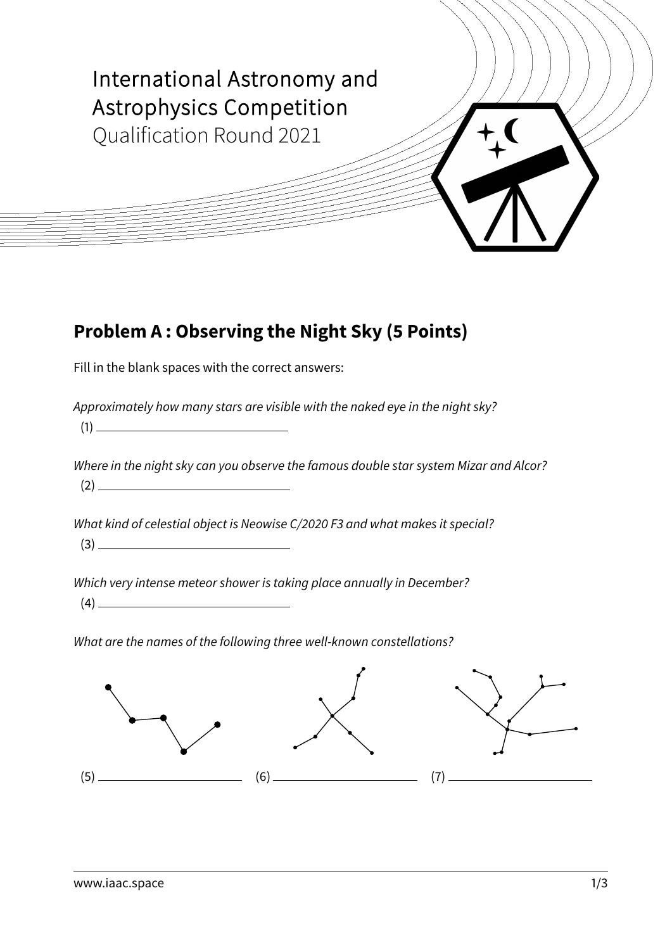

# **Problem A : Observing the Night Sky (5 Points)**

Fill in the blank spaces with the correct answers:

Approximately how many stars are visible with the naked eye in the night sky?

(1)

Where in the night sky can you observe the famous double star system Mizar and Alcor? (2)

What kind of celestial object is Neowise C/2020 F3 and what makes it special?

(3)

Which very intense meteor shower is taking place annually in December?

(4)

What are the names of the following three well-known constellations?

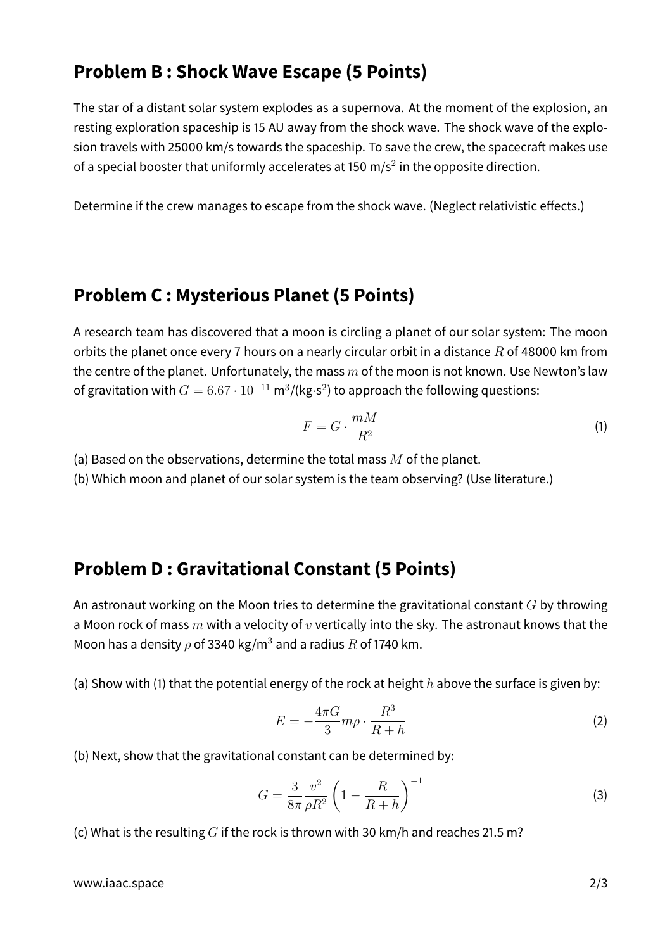# **Problem B : Shock Wave Escape (5 Points)**

The star of a distant solar system explodes as a supernova. At the moment of the explosion, an resting exploration spaceship is 15 AU away from the shock wave. The shock wave of the explosion travels with 25000 km/s towards the spaceship. To save the crew, the spacecraft makes use of a special booster that uniformly accelerates at 150 m/s<sup>2</sup> in the opposite direction.

Determine if the crew manages to escape from the shock wave. (Neglect relativistic effects.)

### **Problem C : Mysterious Planet (5 Points)**

A research team has discovered that a moon is circling a planet of our solar system: The moon orbits the planet once every 7 hours on a nearly circular orbit in a distance  $R$  of 48000 km from the centre of the planet. Unfortunately, the mass  $m$  of the moon is not known. Use Newton's law of gravitation with  $G=6.67\cdot 10^{-11}$  m $^3$ /(kg⋅s $^2$ ) to approach the following questions:

$$
F = G \cdot \frac{mM}{R^2} \tag{1}
$$

(a) Based on the observations, determine the total mass  $M$  of the planet.

(b) Which moon and planet of our solar system is the team observing? (Use literature.)

### **Problem D : Gravitational Constant (5 Points)**

An astronaut working on the Moon tries to determine the gravitational constant  $G$  by throwing a Moon rock of mass  $m$  with a velocity of  $v$  vertically into the sky. The astronaut knows that the Moon has a density  $\rho$  of 3340 kg/m<sup>3</sup> and a radius R of 1740 km.

(a) Show with (1) that the potential energy of the rock at height h above the surface is given by:

$$
E = -\frac{4\pi G}{3}m\rho \cdot \frac{R^3}{R+h} \tag{2}
$$

(b) Next, show that the gravitational constant can be determined by:

$$
G = \frac{3}{8\pi} \frac{v^2}{\rho R^2} \left( 1 - \frac{R}{R + h} \right)^{-1}
$$
 (3)

(c) What is the resulting  $G$  if the rock is thrown with 30 km/h and reaches 21.5 m?